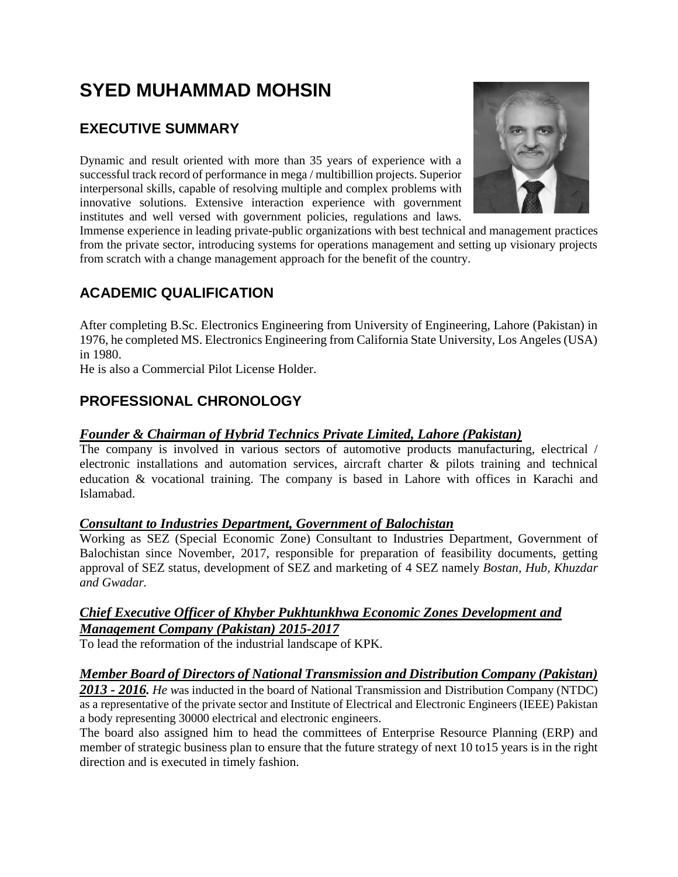# **SYED MUHAMMAD MOHSIN**

# **EXECUTIVE SUMMARY**

Dynamic and result oriented with more than 35 years of experience with a successful track record of performance in mega / multibillion projects. Superior interpersonal skills, capable of resolving multiple and complex problems with innovative solutions. Extensive interaction experience with government institutes and well versed with government policies, regulations and laws.



Immense experience in leading private-public organizations with best technical and management practices from the private sector, introducing systems for operations management and setting up visionary projects from scratch with a change management approach for the benefit of the country.

# **ACADEMIC QUALIFICATION**

After completing B.Sc. Electronics Engineering from University of Engineering, Lahore (Pakistan) in 1976, he completed MS. Electronics Engineering from California State University, Los Angeles (USA) in 1980.

He is also a Commercial Pilot License Holder.

# **PROFESSIONAL CHRONOLOGY**

#### *Founder & Chairman of Hybrid Technics Private Limited, Lahore (Pakistan)*

The company is involved in various sectors of automotive products manufacturing, electrical / electronic installations and automation services, aircraft charter & pilots training and technical education & vocational training. The company is based in Lahore with offices in Karachi and Islamabad.

#### *Consultant to Industries Department, Government of Balochistan*

Working as SEZ (Special Economic Zone) Consultant to Industries Department, Government of Balochistan since November, 2017, responsible for preparation of feasibility documents, getting approval of SEZ status, development of SEZ and marketing of 4 SEZ namely *Bostan, Hub, Khuzdar and Gwadar.*

#### *Chief Executive Officer of Khyber Pukhtunkhwa Economic Zones Development and Management Company (Pakistan) 2015-2017*

To lead the reformation of the industrial landscape of KPK.

#### *Member Board of Directors of National Transmission and Distribution Company (Pakistan)*

*2013 - 2016. He w*as inducted in the board of National Transmission and Distribution Company (NTDC) as a representative of the private sector and Institute of Electrical and Electronic Engineers (IEEE) Pakistan a body representing 30000 electrical and electronic engineers.

The board also assigned him to head the committees of Enterprise Resource Planning (ERP) and member of strategic business plan to ensure that the future strategy of next 10 to15 years is in the right direction and is executed in timely fashion.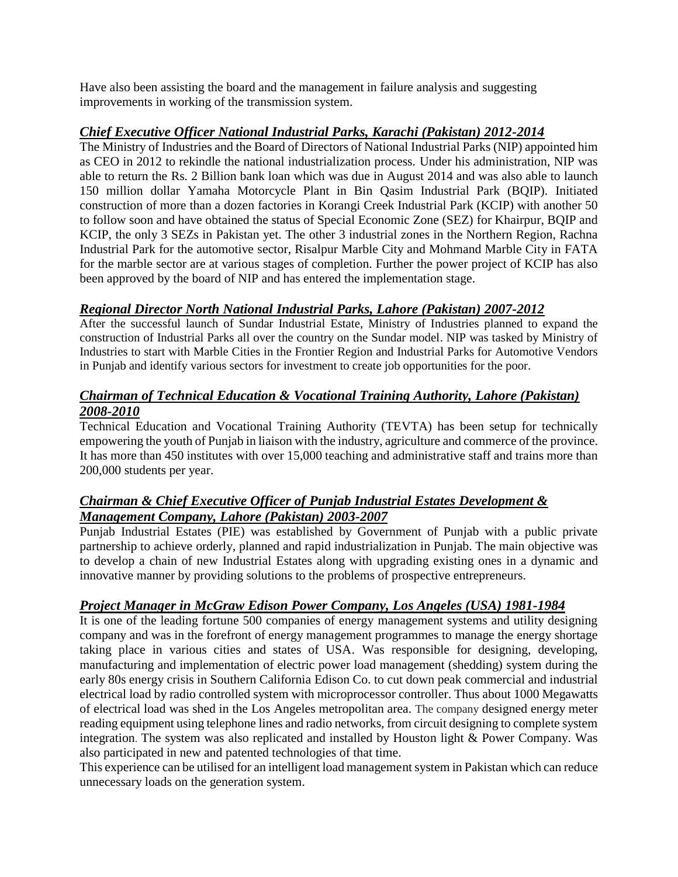Have also been assisting the board and the management in failure analysis and suggesting improvements in working of the transmission system.

#### *Chief Executive Officer National Industrial Parks, Karachi (Pakistan) 2012-2014*

The Ministry of Industries and the Board of Directors of National Industrial Parks (NIP) appointed him as CEO in 2012 to rekindle the national industrialization process. Under his administration, NIP was able to return the Rs. 2 Billion bank loan which was due in August 2014 and was also able to launch 150 million dollar Yamaha Motorcycle Plant in Bin Qasim Industrial Park (BQIP). Initiated construction of more than a dozen factories in Korangi Creek Industrial Park (KCIP) with another 50 to follow soon and have obtained the status of Special Economic Zone (SEZ) for Khairpur, BQIP and KCIP, the only 3 SEZs in Pakistan yet. The other 3 industrial zones in the Northern Region, Rachna Industrial Park for the automotive sector, Risalpur Marble City and Mohmand Marble City in FATA for the marble sector are at various stages of completion. Further the power project of KCIP has also been approved by the board of NIP and has entered the implementation stage.

## *Regional Director North National Industrial Parks, Lahore (Pakistan) 2007-2012*

After the successful launch of Sundar Industrial Estate, Ministry of Industries planned to expand the construction of Industrial Parks all over the country on the Sundar model. NIP was tasked by Ministry of Industries to start with Marble Cities in the Frontier Region and Industrial Parks for Automotive Vendors in Punjab and identify various sectors for investment to create job opportunities for the poor.

#### *Chairman of Technical Education & Vocational Training Authority, Lahore (Pakistan) 2008-2010*

Technical Education and Vocational Training Authority (TEVTA) has been setup for technically empowering the youth of Punjab in liaison with the industry, agriculture and commerce of the province. It has more than 450 institutes with over 15,000 teaching and administrative staff and trains more than 200,000 students per year.

## *Chairman & Chief Executive Officer of Punjab Industrial Estates Development & Management Company, Lahore (Pakistan) 2003-2007*

Punjab Industrial Estates (PIE) was established by Government of Punjab with a public private partnership to achieve orderly, planned and rapid industrialization in Punjab. The main objective was to develop a chain of new Industrial Estates along with upgrading existing ones in a dynamic and innovative manner by providing solutions to the problems of prospective entrepreneurs.

## *Project Manager in McGraw Edison Power Company, Los Angeles (USA) 1981-1984*

It is one of the leading fortune 500 companies of energy management systems and utility designing company and was in the forefront of energy management programmes to manage the energy shortage taking place in various cities and states of USA. Was responsible for designing, developing, manufacturing and implementation of electric power load management (shedding) system during the early 80s energy crisis in Southern California Edison Co. to cut down peak commercial and industrial electrical load by radio controlled system with microprocessor controller. Thus about 1000 Megawatts of electrical load was shed in the Los Angeles metropolitan area. The company designed energy meter reading equipment using telephone lines and radio networks, from circuit designing to complete system integration. The system was also replicated and installed by Houston light & Power Company. Was also participated in new and patented technologies of that time.

This experience can be utilised for an intelligent load management system in Pakistan which can reduce unnecessary loads on the generation system.